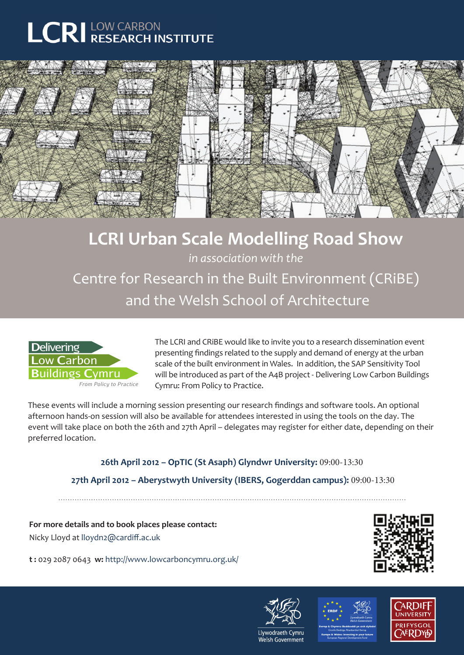## **LCRI** LOW CARBON



## **LCRI Urban Scale Modelling Road Show**

*in association with the*

Centre for Research in the Built Environment (CRiBE) and the Welsh School of Architecture



The LCRI and CRiBE would like to invite you to a research dissemination event presenting findings related to the supply and demand of energy at the urban scale of the built environment in Wales. In addition, the SAP Sensitivity Tool will be introduced as part of the A4B project - Delivering Low Carbon Buildings Cymru: From Policy to Practice.

These events will include a morning session presenting our research findings and software tools. An optional afternoon hands-on session will also be available for attendees interested in using the tools on the day. The event will take place on both the 26th and 27th April – delegates may register for either date, depending on their preferred location.

> **26th April 2012 – OpTIC (St Asaph) Glyndwr University:** 09:00-13:30  **27th April 2012 – Aberystwyth University (IBERS, Gogerddan campus):** 09:00-13:30

**For more details and to book places please contact:** Nicky Lloyd at lloydn2@cardiff.ac.uk

**t :** 029 2087 0643 **w:** http://www.lowcarboncymru.org.uk/